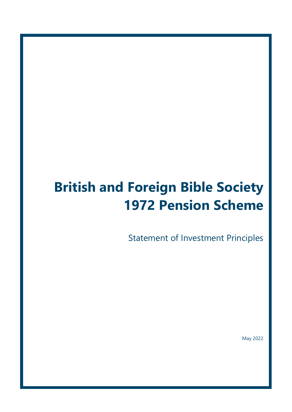# **British and Foreign Bible Society 1972 Pension Scheme**

Statement of Investment Principles

May 2022

Page **1** of **17**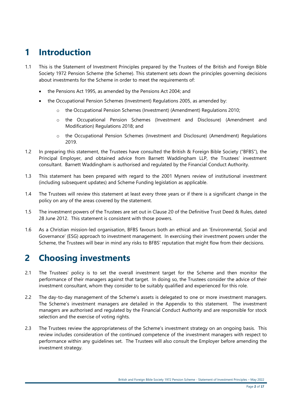# **1 Introduction**

- 1.1 This is the Statement of Investment Principles prepared by the Trustees of the British and Foreign Bible Society 1972 Pension Scheme (the Scheme). This statement sets down the principles governing decisions about investments for the Scheme in order to meet the requirements of:
	- the Pensions Act 1995, as amended by the Pensions Act 2004; and
	- the Occupational Pension Schemes (Investment) Regulations 2005, as amended by:
		- o the Occupational Pension Schemes (Investment) (Amendment) Regulations 2010;
		- o the Occupational Pension Schemes (Investment and Disclosure) (Amendment and Modification) Regulations 2018; and
		- o the Occupational Pension Schemes (Investment and Disclosure) (Amendment) Regulations 2019.
- 1.2 In preparing this statement, the Trustees have consulted the British & Foreign Bible Society ("BFBS"), the Principal Employer, and obtained advice from Barnett Waddingham LLP, the Trustees' investment consultant. Barnett Waddingham is authorised and regulated by the Financial Conduct Authority.
- 1.3 This statement has been prepared with regard to the 2001 Myners review of institutional investment (including subsequent updates) and Scheme Funding legislation as applicable.
- 1.4 The Trustees will review this statement at least every three years or if there is a significant change in the policy on any of the areas covered by the statement.
- 1.5 The investment powers of the Trustees are set out in Clause 20 of the Definitive Trust Deed & Rules, dated 28 June 2012. This statement is consistent with those powers.
- 1.6 As a Christian mission-led organisation, BFBS favours both an ethical and an 'Environmental, Social and Governance' (ESG) approach to investment management. In exercising their investment powers under the Scheme, the Trustees will bear in mind any risks to BFBS' reputation that might flow from their decisions.

# **2 Choosing investments**

- 2.1 The Trustees' policy is to set the overall investment target for the Scheme and then monitor the performance of their managers against that target. In doing so, the Trustees consider the advice of their investment consultant, whom they consider to be suitably qualified and experienced for this role.
- 2.2 The day-to-day management of the Scheme's assets is delegated to one or more investment managers. The Scheme's investment managers are detailed in the Appendix to this statement. The investment managers are authorised and regulated by the Financial Conduct Authority and are responsible for stock selection and the exercise of voting rights.
- 2.3 The Trustees review the appropriateness of the Scheme's investment strategy on an ongoing basis. This review includes consideration of the continued competence of the investment managers with respect to performance within any guidelines set. The Trustees will also consult the Employer before amending the investment strategy.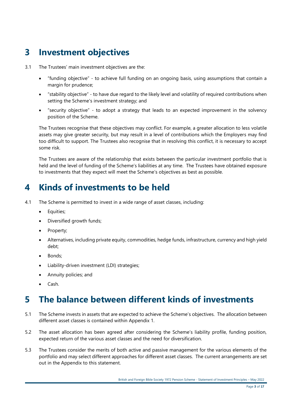# **3 Investment objectives**

- 3.1 The Trustees' main investment objectives are the:
	- "funding objective" to achieve full funding on an ongoing basis, using assumptions that contain a margin for prudence;
	- "stability objective" to have due regard to the likely level and volatility of required contributions when setting the Scheme's investment strategy; and
	- "security objective" to adopt a strategy that leads to an expected improvement in the solvency position of the Scheme.

The Trustees recognise that these objectives may conflict. For example, a greater allocation to less volatile assets may give greater security, but may result in a level of contributions which the Employers may find too difficult to support. The Trustees also recognise that in resolving this conflict, it is necessary to accept some risk.

The Trustees are aware of the relationship that exists between the particular investment portfolio that is held and the level of funding of the Scheme's liabilities at any time. The Trustees have obtained exposure to investments that they expect will meet the Scheme's objectives as best as possible.

# **4 Kinds of investments to be held**

- 4.1 The Scheme is permitted to invest in a wide range of asset classes, including:
	- Equities;
	- Diversified growth funds;
	- Property;
	- Alternatives, including private equity, commodities, hedge funds, infrastructure, currency and high yield debt;
	- Bonds:
	- Liability-driven investment (LDI) strategies;
	- Annuity policies; and
	- Cash.

### **5 The balance between different kinds of investments**

- 5.1 The Scheme invests in assets that are expected to achieve the Scheme's objectives. The allocation between different asset classes is contained within Appendix 1.
- 5.2 The asset allocation has been agreed after considering the Scheme's liability profile, funding position, expected return of the various asset classes and the need for diversification.
- 5.3 The Trustees consider the merits of both active and passive management for the various elements of the portfolio and may select different approaches for different asset classes. The current arrangements are set out in the Appendix to this statement.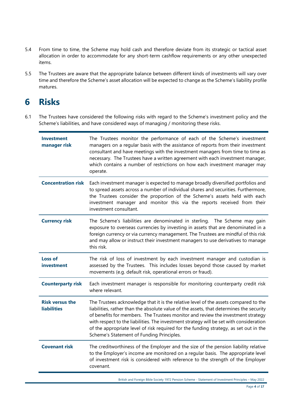- 5.4 From time to time, the Scheme may hold cash and therefore deviate from its strategic or tactical asset allocation in order to accommodate for any short-term cashflow requirements or any other unexpected items.
- 5.5 The Trustees are aware that the appropriate balance between different kinds of investments will vary over time and therefore the Scheme's asset allocation will be expected to change as the Scheme's liability profile matures.

### **6 Risks**

6.1 The Trustees have considered the following risks with regard to the Scheme's investment policy and the Scheme's liabilities, and have considered ways of managing / monitoring these risks.

| The Trustees monitor the performance of each of the Scheme's investment<br>managers on a regular basis with the assistance of reports from their investment<br>consultant and have meetings with the investment managers from time to time as<br>necessary. The Trustees have a written agreement with each investment manager,<br>which contains a number of restrictions on how each investment manager may<br>operate.                                                                            |  |
|------------------------------------------------------------------------------------------------------------------------------------------------------------------------------------------------------------------------------------------------------------------------------------------------------------------------------------------------------------------------------------------------------------------------------------------------------------------------------------------------------|--|
| Each investment manager is expected to manage broadly diversified portfolios and<br>to spread assets across a number of individual shares and securities. Furthermore,<br>the Trustees consider the proportion of the Scheme's assets held with each<br>investment manager and monitor this via the reports received from their<br>investment consultant.                                                                                                                                            |  |
| The Scheme's liabilities are denominated in sterling. The Scheme may gain<br>exposure to overseas currencies by investing in assets that are denominated in a<br>foreign currency or via currency management. The Trustees are mindful of this risk<br>and may allow or instruct their investment managers to use derivatives to manage<br>this risk.                                                                                                                                                |  |
| The risk of loss of investment by each investment manager and custodian is<br>assessed by the Trustees. This includes losses beyond those caused by market<br>movements (e.g. default risk, operational errors or fraud).                                                                                                                                                                                                                                                                            |  |
| Each investment manager is responsible for monitoring counterparty credit risk<br>where relevant.                                                                                                                                                                                                                                                                                                                                                                                                    |  |
| The Trustees acknowledge that it is the relative level of the assets compared to the<br>liabilities, rather than the absolute value of the assets, that determines the security<br>of benefits for members. The Trustees monitor and review the investment strategy<br>with respect to the liabilities. The investment strategy will be set with consideration<br>of the appropriate level of risk required for the funding strategy, as set out in the<br>Scheme's Statement of Funding Principles. |  |
| The creditworthiness of the Employer and the size of the pension liability relative<br>to the Employer's income are monitored on a regular basis. The appropriate level<br>of investment risk is considered with reference to the strength of the Employer<br>covenant.                                                                                                                                                                                                                              |  |
|                                                                                                                                                                                                                                                                                                                                                                                                                                                                                                      |  |

British and Foreign Bible Society 1972 Pension Scheme - Statement of Investment Principles – May 2022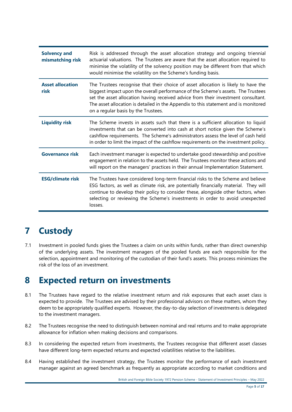| <b>Solvency and</b><br>mismatching risk | Risk is addressed through the asset allocation strategy and ongoing triennial<br>actuarial valuations. The Trustees are aware that the asset allocation required to<br>minimise the volatility of the solvency position may be different from that which<br>would minimise the volatility on the Scheme's funding basis.                                                                  |
|-----------------------------------------|-------------------------------------------------------------------------------------------------------------------------------------------------------------------------------------------------------------------------------------------------------------------------------------------------------------------------------------------------------------------------------------------|
| <b>Asset allocation</b><br>risk         | The Trustees recognise that their choice of asset allocation is likely to have the<br>biggest impact upon the overall performance of the Scheme's assets. The Trustees<br>set the asset allocation having received advice from their investment consultant.<br>The asset allocation is detailed in the Appendix to this statement and is monitored<br>on a regular basis by the Trustees. |
| <b>Liquidity risk</b>                   | The Scheme invests in assets such that there is a sufficient allocation to liquid<br>investments that can be converted into cash at short notice given the Scheme's<br>cashflow requirements. The Scheme's administrators assess the level of cash held<br>in order to limit the impact of the cashflow requirements on the investment policy.                                            |
| <b>Governance risk</b>                  | Each investment manager is expected to undertake good stewardship and positive<br>engagement in relation to the assets held. The Trustees monitor these actions and<br>will report on the managers' practices in their annual Implementation Statement.                                                                                                                                   |
| <b>ESG/climate risk</b>                 | The Trustees have considered long-term financial risks to the Scheme and believe<br>ESG factors, as well as climate risk, are potentially financially material. They will<br>continue to develop their policy to consider these, alongside other factors, when<br>selecting or reviewing the Scheme's investments in order to avoid unexpected<br>losses.                                 |

# **7 Custody**

7.1 Investment in pooled funds gives the Trustees a claim on units within funds, rather than direct ownership of the underlying assets. The investment managers of the pooled funds are each responsible for the selection, appointment and monitoring of the custodian of their fund's assets. This process minimizes the risk of the loss of an investment.

# **8 Expected return on investments**

- 8.1 The Trustees have regard to the relative investment return and risk exposures that each asset class is expected to provide. The Trustees are advised by their professional advisors on these matters, whom they deem to be appropriately qualified experts. However, the day-to-day selection of investments is delegated to the investment managers.
- 8.2 The Trustees recognise the need to distinguish between nominal and real returns and to make appropriate allowance for inflation when making decisions and comparisons.
- 8.3 In considering the expected return from investments, the Trustees recognise that different asset classes have different long-term expected returns and expected volatilities relative to the liabilities.
- 8.4 Having established the investment strategy, the Trustees monitor the performance of each investment manager against an agreed benchmark as frequently as appropriate according to market conditions and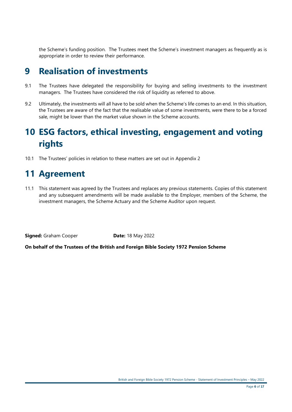the Scheme's funding position. The Trustees meet the Scheme's investment managers as frequently as is appropriate in order to review their performance.

### **9 Realisation of investments**

- 9.1 The Trustees have delegated the responsibility for buying and selling investments to the investment managers. The Trustees have considered the risk of liquidity as referred to above.
- 9.2 Ultimately, the investments will all have to be sold when the Scheme's life comes to an end. In this situation, the Trustees are aware of the fact that the realisable value of some investments, were there to be a forced sale, might be lower than the market value shown in the Scheme accounts.

# **10 ESG factors, ethical investing, engagement and voting rights**

10.1 The Trustees' policies in relation to these matters are set out in Appendix 2

### **11 Agreement**

11.1 This statement was agreed by the Trustees and replaces any previous statements. Copies of this statement and any subsequent amendments will be made available to the Employer, members of the Scheme, the investment managers, the Scheme Actuary and the Scheme Auditor upon request.

**Signed:** Graham Cooper **Date:** 18 May 2022

**On behalf of the Trustees of the British and Foreign Bible Society 1972 Pension Scheme**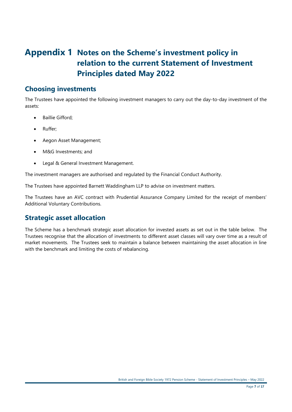### **Appendix 1 Notes on the Scheme's investment policy in relation to the current Statement of Investment Principles dated May 2022**

### **Choosing investments**

The Trustees have appointed the following investment managers to carry out the day-to-day investment of the assets:

- Baillie Gifford:
- Ruffer;
- Aegon Asset Management;
- M&G Investments; and
- Legal & General Investment Management.

The investment managers are authorised and regulated by the Financial Conduct Authority.

The Trustees have appointed Barnett Waddingham LLP to advise on investment matters.

The Trustees have an AVC contract with Prudential Assurance Company Limited for the receipt of members' Additional Voluntary Contributions.

### **Strategic asset allocation**

The Scheme has a benchmark strategic asset allocation for invested assets as set out in the table below. The Trustees recognise that the allocation of investments to different asset classes will vary over time as a result of market movements. The Trustees seek to maintain a balance between maintaining the asset allocation in line with the benchmark and limiting the costs of rebalancing.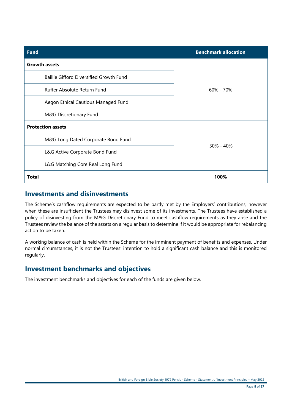| <b>Fund</b>                             | <b>Benchmark allocation</b> |  |
|-----------------------------------------|-----------------------------|--|
| <b>Growth assets</b>                    |                             |  |
| Baillie Gifford Diversified Growth Fund | 60% - 70%                   |  |
| Ruffer Absolute Return Fund             |                             |  |
| Aegon Ethical Cautious Managed Fund     |                             |  |
| M&G Discretionary Fund                  |                             |  |
| <b>Protection assets</b>                |                             |  |
| M&G Long Dated Corporate Bond Fund      | $30\% - 40\%$               |  |
| L&G Active Corporate Bond Fund          |                             |  |
| L&G Matching Core Real Long Fund        |                             |  |
| <b>Total</b>                            | 100%                        |  |

#### **Investments and disinvestments**

The Scheme's cashflow requirements are expected to be partly met by the Employers' contributions, however when these are insufficient the Trustees may disinvest some of its investments. The Trustees have established a policy of disinvesting from the M&G Discretionary Fund to meet cashflow requirements as they arise and the Trustees review the balance of the assets on a regular basis to determine if it would be appropriate for rebalancing action to be taken.

A working balance of cash is held within the Scheme for the imminent payment of benefits and expenses. Under normal circumstances, it is not the Trustees' intention to hold a significant cash balance and this is monitored regularly.

### **Investment benchmarks and objectives**

The investment benchmarks and objectives for each of the funds are given below.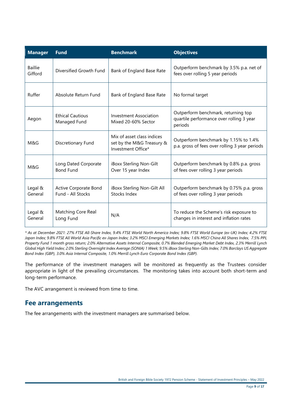| <b>Manager</b>            | <b>Fund</b>                                | <b>Benchmark</b>                                                              | <b>Objectives</b>                                                                          |
|---------------------------|--------------------------------------------|-------------------------------------------------------------------------------|--------------------------------------------------------------------------------------------|
| <b>Baillie</b><br>Gifford | Diversified Growth Fund                    | Bank of England Base Rate                                                     | Outperform benchmark by 3.5% p.a. net of<br>fees over rolling 5 year periods               |
| Ruffer                    | Absolute Return Fund                       | Bank of England Base Rate                                                     | No formal target                                                                           |
| Aegon                     | <b>Ethical Cautious</b><br>Managed Fund    | Investment Association<br>Mixed 20-60% Sector                                 | Outperform benchmark, returning top<br>quartile performance over rolling 3 year<br>periods |
| M&G                       | Discretionary Fund                         | Mix of asset class indices<br>set by the M&G Treasury &<br>Investment Office* | Outperform benchmark by 1.15% to 1.4%<br>p.a. gross of fees over rolling 3 year periods    |
| M&G                       | Long Dated Corporate<br><b>Bond Fund</b>   | iBoxx Sterling Non-Gilt<br>Over 15 year Index                                 | Outperform benchmark by 0.8% p.a. gross<br>of fees over rolling 3 year periods             |
| Legal &<br>General        | Active Corporate Bond<br>Fund - All Stocks | iBoxx Sterling Non-Gilt All<br>Stocks Index                                   | Outperform benchmark by 0.75% p.a. gross<br>of fees over rolling 3 year periods            |
| Legal &<br>General        | Matching Core Real<br>Long Fund            | N/A                                                                           | To reduce the Scheme's risk exposure to<br>changes in interest and inflation rates         |

*\* As at December 2021: 27% FTSE All-Share Index, 9.4% FTSE World North America Index; 9.8% FTSE World Europe (ex-UK) Index; 4.2% FTSE Japan Index; 9.8% FTSE All World Asia Pacific ex-Japan Index; 3.2% MSCI Emerging Markets Index; 1.6% MSCI China All Shares Index, 7.5% PPL Property Fund 1 month gross return; 2.0% Alternative Assets Internal Composite, 0.7% Blended Emerging Market Debt Index, 2.3% Merrill Lynch Global High Yield Index; 2.0% Sterling Overnight Index Average (SONIA) 1 Week; 9.5% iBoxx Sterling Non-Gilts Index; 7.0% Barclays US Aggregate Bond Index (GBP), 3.0% Asia Internal Composite, 1.0% Merrill Lynch Euro Corporate Bond Index (GBP).*

The performance of the investment managers will be monitored as frequently as the Trustees consider appropriate in light of the prevailing circumstances. The monitoring takes into account both short-term and long-term performance.

The AVC arrangement is reviewed from time to time.

#### **Fee arrangements**

The fee arrangements with the investment managers are summarised below.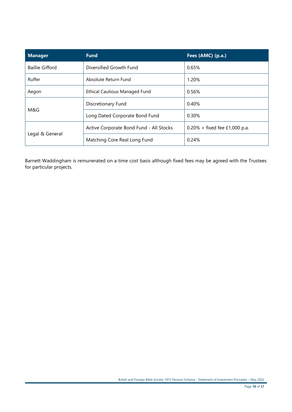| <b>Manager</b>         | <b>Fund</b>                             | Fees (AMC) (p.a.)                |
|------------------------|-----------------------------------------|----------------------------------|
| <b>Baillie Gifford</b> | Diversified Growth Fund                 | 0.65%                            |
| Ruffer                 | Absolute Return Fund                    | 1.20%                            |
| Aegon                  | <b>Ethical Cautious Managed Fund</b>    | 0.56%                            |
| M&G                    | Discretionary Fund                      | 0.40%                            |
|                        | Long Dated Corporate Bond Fund          | 0.30%                            |
| Legal & General        | Active Corporate Bond Fund - All Stocks | $0.20\% +$ fixed fee £1,000 p.a. |
|                        | Matching Core Real Long Fund            | 0.24%                            |

Barnett Waddingham is remunerated on a time cost basis although fixed fees may be agreed with the Trustees for particular projects.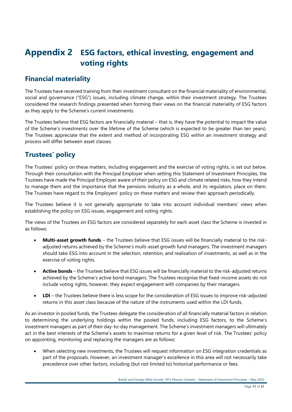### **Appendix 2 ESG factors, ethical investing, engagement and voting rights**

### **Financial materiality**

The Trustees have received training from their investment consultant on the financial materiality of environmental, social and governance ("ESG") issues, including climate change, within their investment strategy. The Trustees considered the research findings presented when forming their views on the financial materiality of ESG factors as they apply to the Scheme's current investments.

The Trustees believe that ESG factors are financially material – that is, they have the potential to impact the value of the Scheme's investments over the lifetime of the Scheme (which is expected to be greater than ten years). The Trustees appreciate that the extent and method of incorporating ESG within an investment strategy and process will differ between asset classes.

### **Trustees' policy**

The Trustees' policy on these matters, including engagement and the exercise of voting rights, is set out below. Through their consultation with the Principal Employer when setting this Statement of Investment Principles, the Trustees have made the Principal Employer aware of their policy on ESG and climate related risks, how they intend to manage them and the importance that the pensions industry as a whole, and its regulators, place on them. The Trustees have regard to the Employers' policy on these matters and review their approach periodically.

The Trustees believe it is not generally appropriate to take into account individual members' views when establishing the policy on ESG issues, engagement and voting rights.

The views of the Trustees on ESG factors are considered separately for each asset class the Scheme is invested in as follows:

- **Multi-asset growth funds**  the Trustees believe that ESG issues will be financially material to the riskadjusted returns achieved by the Scheme's multi-asset growth fund managers. The investment managers should take ESG into account in the selection, retention, and realisation of investments, as well as in the exercise of voting rights.
- **Active bonds** the Trustees believe that ESG issues will be financially material to the risk-adjusted returns achieved by the Scheme's active bond managers. The Trustees recognise that fixed-income assets do not include voting rights, however, they expect engagement with companies by their managers.
- **LDI** the Trustees believe there is less scope for the consideration of ESG issues to improve risk-adjusted returns in this asset class because of the nature of the instruments used within the LDI funds.

As an investor in pooled funds, the Trustees delegate the consideration of all financially material factors in relation to determining the underlying holdings within the pooled funds, including ESG factors, to the Scheme's investment managers as part of their day-to-day management. The Scheme's investment managers will ultimately act in the best interests of the Scheme's assets to maximise returns for a given level of risk. The Trustees' policy on appointing, monitoring and replacing the managers are as follows:

• When selecting new investments, the Trustees will request information on ESG integration credentials as part of the proposals. However, an investment manager's excellence in this area will not necessarily take precedence over other factors, including (but not limited to) historical performance or fees.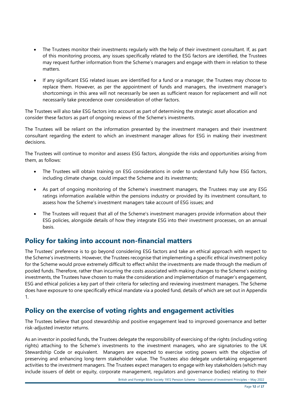- The Trustees monitor their investments regularly with the help of their investment consultant. If, as part of this monitoring process, any issues specifically related to the ESG factors are identified, the Trustees may request further information from the Scheme's managers and engage with them in relation to these matters.
- If any significant ESG related issues are identified for a fund or a manager, the Trustees may choose to replace them. However, as per the appointment of funds and managers, the investment manager's shortcomings in this area will not necessarily be seen as sufficient reason for replacement and will not necessarily take precedence over consideration of other factors.

The Trustees will also take ESG factors into account as part of determining the strategic asset allocation and consider these factors as part of ongoing reviews of the Scheme's investments.

The Trustees will be reliant on the information presented by the investment managers and their investment consultant regarding the extent to which an investment manager allows for ESG in making their investment decisions.

The Trustees will continue to monitor and assess ESG factors, alongside the risks and opportunities arising from them, as follows:

- The Trustees will obtain training on ESG considerations in order to understand fully how ESG factors, including climate change, could impact the Scheme and its investments;
- As part of ongoing monitoring of the Scheme's investment managers, the Trustees may use any ESG ratings information available within the pensions industry or provided by its investment consultant, to assess how the Scheme's investment managers take account of ESG issues; and
- The Trustees will request that all of the Scheme's investment managers provide information about their ESG policies, alongside details of how they integrate ESG into their investment processes, on an annual basis.

### **Policy for taking into account non-financial matters**

The Trustees' preference is to go beyond considering ESG factors and take an ethical approach with respect to the Scheme's investments. However, the Trustees recognise that implementing a specific ethical investment policy for the Scheme would prove extremely difficult to effect whilst the investments are made through the medium of pooled funds. Therefore, rather than incurring the costs associated with making changes to the Scheme's existing investments, the Trustees have chosen to make the consideration and implementation of manager's engagement, ESG and ethical policies a key part of their criteria for selecting and reviewing investment managers. The Scheme does have exposure to one specifically ethical mandate via a pooled fund, details of which are set out in Appendix 1.

#### **Policy on the exercise of voting rights and engagement activities**

The Trustees believe that good stewardship and positive engagement lead to improved governance and better risk-adjusted investor returns.

As an investor in pooled funds, the Trustees delegate the responsibility of exercising of the rights (including voting rights) attaching to the Scheme's investments to the investment managers, who are signatories to the UK Stewardship Code or equivalent. Managers are expected to exercise voting powers with the objective of preserving and enhancing long-term stakeholder value. The Trustees also delegate undertaking engagement activities to the investment managers. The Trustees expect managers to engage with key stakeholders (which may include issuers of debt or equity, corporate management, regulators and governance bodies) relating to their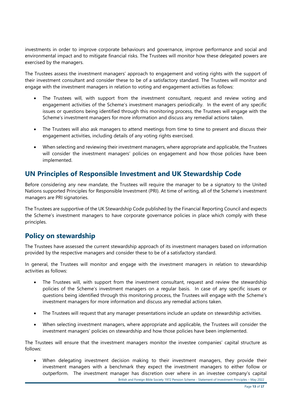investments in order to improve corporate behaviours and governance, improve performance and social and environmental impact and to mitigate financial risks. The Trustees will monitor how these delegated powers are exercised by the managers.

The Trustees assess the investment managers' approach to engagement and voting rights with the support of their investment consultant and consider these to be of a satisfactory standard. The Trustees will monitor and engage with the investment managers in relation to voting and engagement activities as follows:

- The Trustees will, with support from the investment consultant, request and review voting and engagement activities of the Scheme's investment managers periodically. In the event of any specific issues or questions being identified through this monitoring process, the Trustees will engage with the Scheme's investment managers for more information and discuss any remedial actions taken.
- The Trustees will also ask managers to attend meetings from time to time to present and discuss their engagement activities, including details of any voting rights exercised.
- When selecting and reviewing their investment managers, where appropriate and applicable, the Trustees will consider the investment managers' policies on engagement and how those policies have been implemented.

### **UN Principles of Responsible Investment and UK Stewardship Code**

Before considering any new mandate, the Trustees will require the manager to be a signatory to the United Nations supported Principles for Responsible Investment (PRI). At time of writing, all of the Scheme's investment managers are PRI signatories.

The Trustees are supportive of the UK Stewardship Code published by the Financial Reporting Council and expects the Scheme's investment managers to have corporate governance policies in place which comply with these principles.

### **Policy on stewardship**

The Trustees have assessed the current stewardship approach of its investment managers based on information provided by the respective managers and consider these to be of a satisfactory standard.

In general, the Trustees will monitor and engage with the investment managers in relation to stewardship activities as follows:

- The Trustees will, with support from the investment consultant, request and review the stewardship policies of the Scheme's investment managers on a regular basis. In case of any specific issues or questions being identified through this monitoring process, the Trustees will engage with the Scheme's investment managers for more information and discuss any remedial actions taken.
- The Trustees will request that any manager presentations include an update on stewardship activities.
- When selecting investment managers, where appropriate and applicable, the Trustees will consider the investment managers' policies on stewardship and how those policies have been implemented.

The Trustees will ensure that the investment managers monitor the investee companies' capital structure as follows:

British and Foreign Bible Society 1972 Pension Scheme - Statement of Investment Principles – May 2022 • When delegating investment decision making to their investment managers, they provide their investment managers with a benchmark they expect the investment managers to either follow or outperform. The investment manager has discretion over where in an investee company's capital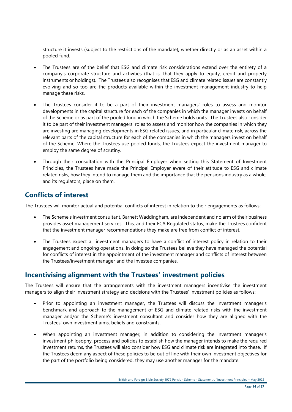structure it invests (subject to the restrictions of the mandate), whether directly or as an asset within a pooled fund.

- The Trustees are of the belief that ESG and climate risk considerations extend over the entirety of a company's corporate structure and activities (that is, that they apply to equity, credit and property instruments or holdings). The Trustees also recognises that ESG and climate related issues are constantly evolving and so too are the products available within the investment management industry to help manage these risks.
- The Trustees consider it to be a part of their investment managers' roles to assess and monitor developments in the capital structure for each of the companies in which the manager invests on behalf of the Scheme or as part of the pooled fund in which the Scheme holds units. The Trustees also consider it to be part of their investment managers' roles to assess and monitor how the companies in which they are investing are managing developments in ESG related issues, and in particular climate risk, across the relevant parts of the capital structure for each of the companies in which the managers invest on behalf of the Scheme. Where the Trustees use pooled funds, the Trustees expect the investment manager to employ the same degree of scrutiny.
- Through their consultation with the Principal Employer when setting this Statement of Investment Principles, the Trustees have made the Principal Employer aware of their attitude to ESG and climate related risks, how they intend to manage them and the importance that the pensions industry as a whole, and its regulators, place on them.

### **Conflicts of interest**

The Trustees will monitor actual and potential conflicts of interest in relation to their engagements as follows:

- The Scheme's investment consultant, Barnett Waddingham, are independent and no arm of their business provides asset management services. This, and their FCA Regulated status, make the Trustees confident that the investment manager recommendations they make are free from conflict of interest.
- The Trustees expect all investment managers to have a conflict of interest policy in relation to their engagement and ongoing operations. In doing so the Trustees believe they have managed the potential for conflicts of interest in the appointment of the investment manager and conflicts of interest between the Trustees/investment manager and the investee companies.

### **Incentivising alignment with the Trustees' investment policies**

The Trustees will ensure that the arrangements with the investment managers incentivise the investment managers to align their investment strategy and decisions with the Trustees' investment policies as follows:

- Prior to appointing an investment manager, the Trustees will discuss the investment manager's benchmark and approach to the management of ESG and climate related risks with the investment manager and/or the Scheme's investment consultant and consider how they are aligned with the Trustees' own investment aims, beliefs and constraints.
- When appointing an investment manager, in addition to considering the investment manager's investment philosophy, process and policies to establish how the manager intends to make the required investment returns, the Trustees will also consider how ESG and climate risk are integrated into these. If the Trustees deem any aspect of these policies to be out of line with their own investment objectives for the part of the portfolio being considered, they may use another manager for the mandate.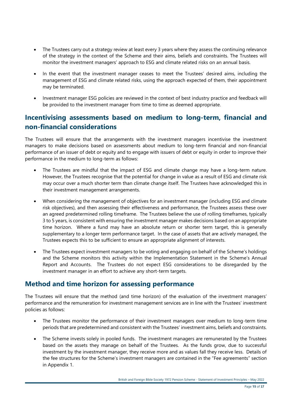- The Trustees carry out a strategy review at least every 3 years where they assess the continuing relevance of the strategy in the context of the Scheme and their aims, beliefs and constraints. The Trustees will monitor the investment managers' approach to ESG and climate related risks on an annual basis.
- In the event that the investment manager ceases to meet the Trustees' desired aims, including the management of ESG and climate related risks, using the approach expected of them, their appointment may be terminated.
- Investment manager ESG policies are reviewed in the context of best industry practice and feedback will be provided to the investment manager from time to time as deemed appropriate.

### **Incentivising assessments based on medium to long-term, financial and non-financial considerations**

The Trustees will ensure that the arrangements with the investment managers incentivise the investment managers to make decisions based on assessments about medium to long-term financial and non-financial performance of an issuer of debt or equity and to engage with issuers of debt or equity in order to improve their performance in the medium to long-term as follows:

- The Trustees are mindful that the impact of ESG and climate change may have a long-term nature. However, the Trustees recognise that the potential for change in value as a result of ESG and climate risk may occur over a much shorter term than climate change itself. The Trustees have acknowledged this in their investment management arrangements.
- When considering the management of objectives for an investment manager (including ESG and climate risk objectives), and then assessing their effectiveness and performance, the Trustees assess these over an agreed predetermined rolling timeframe. The Trustees believe the use of rolling timeframes, typically 3 to 5 years, is consistent with ensuring the investment manager makes decisions based on an appropriate time horizon. Where a fund may have an absolute return or shorter term target, this is generally supplementary to a longer term performance target. In the case of assets that are actively managed, the Trustees expects this to be sufficient to ensure an appropriate alignment of interests.
- The Trustees expect investment managers to be voting and engaging on behalf of the Scheme's holdings and the Scheme monitors this activity within the Implementation Statement in the Scheme's Annual Report and Accounts. The Trustees do not expect ESG considerations to be disregarded by the investment manager in an effort to achieve any short-term targets.

### **Method and time horizon for assessing performance**

The Trustees will ensure that the method (and time horizon) of the evaluation of the investment managers' performance and the remuneration for investment management services are in line with the Trustees' investment policies as follows:

- The Trustees monitor the performance of their investment managers over medium to long-term time periods that are predetermined and consistent with the Trustees' investment aims, beliefs and constraints.
- The Scheme invests solely in pooled funds. The investment managers are remunerated by the Trustees based on the assets they manage on behalf of the Trustees. As the funds grow, due to successful investment by the investment manager, they receive more and as values fall they receive less. Details of the fee structures for the Scheme's investment managers are contained in the "Fee agreements" section in Appendix 1.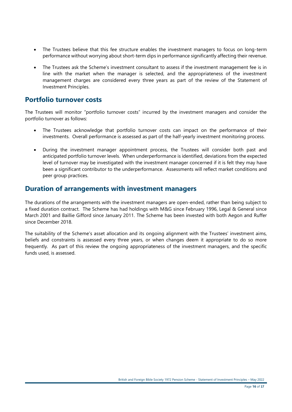- The Trustees believe that this fee structure enables the investment managers to focus on long-term performance without worrying about short-term dips in performance significantly affecting their revenue.
- The Trustees ask the Scheme's investment consultant to assess if the investment management fee is in line with the market when the manager is selected, and the appropriateness of the investment management charges are considered every three years as part of the review of the Statement of Investment Principles.

#### **Portfolio turnover costs**

The Trustees will monitor "portfolio turnover costs" incurred by the investment managers and consider the portfolio turnover as follows:

- The Trustees acknowledge that portfolio turnover costs can impact on the performance of their investments. Overall performance is assessed as part of the half-yearly investment monitoring process.
- During the investment manager appointment process, the Trustees will consider both past and anticipated portfolio turnover levels. When underperformance is identified, deviations from the expected level of turnover may be investigated with the investment manager concerned if it is felt they may have been a significant contributor to the underperformance. Assessments will reflect market conditions and peer group practices.

#### **Duration of arrangements with investment managers**

The durations of the arrangements with the investment managers are open-ended, rather than being subject to a fixed duration contract. The Scheme has had holdings with M&G since February 1996, Legal & General since March 2001 and Baillie Gifford since January 2011. The Scheme has been invested with both Aegon and Ruffer since December 2018.

The suitability of the Scheme's asset allocation and its ongoing alignment with the Trustees' investment aims, beliefs and constraints is assessed every three years, or when changes deem it appropriate to do so more frequently. As part of this review the ongoing appropriateness of the investment managers, and the specific funds used, is assessed.